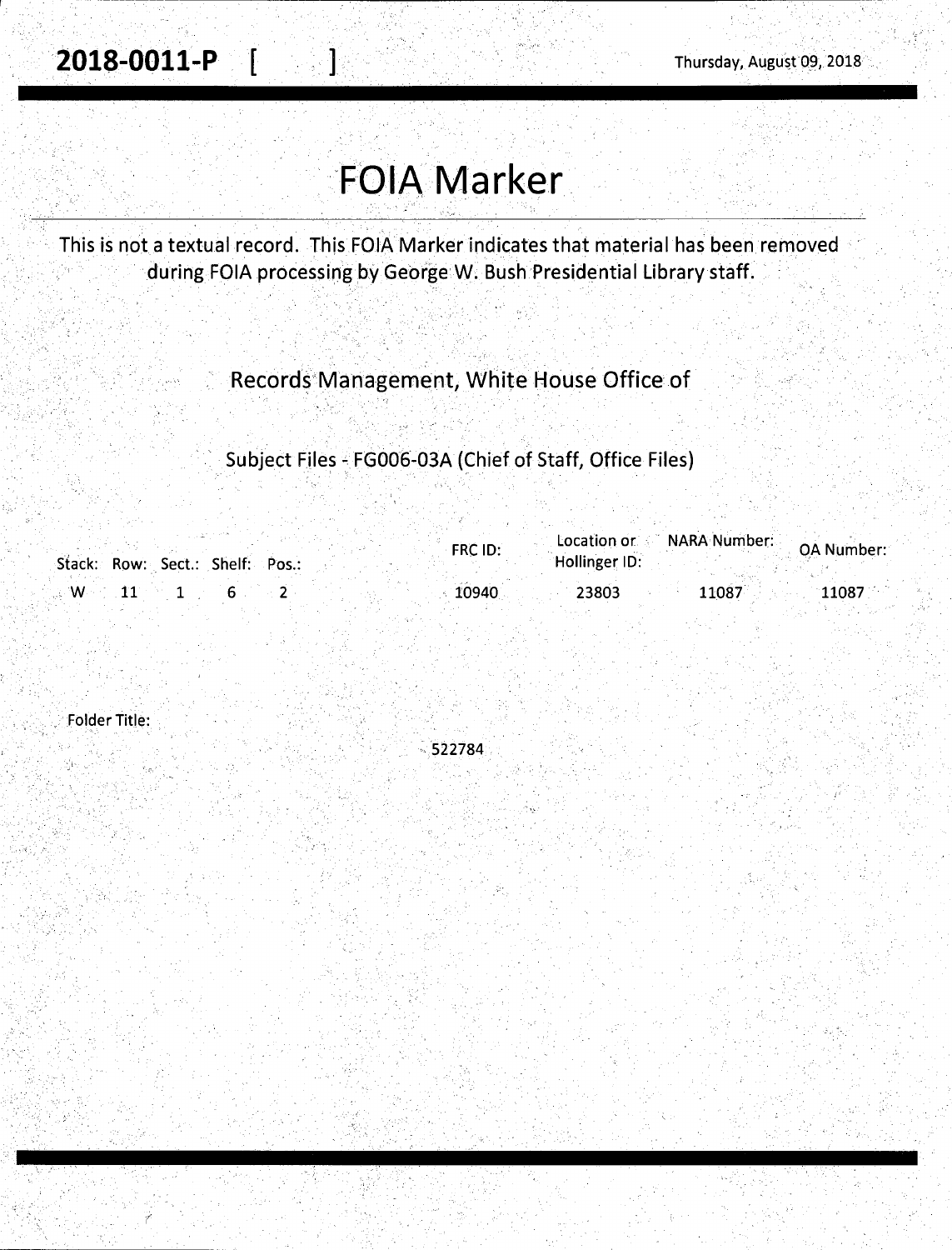# **'FOIA Marker**

1

 $\omega_{\rm max}$ 

This is not a textual record. This FOIA Marker indicates that material has been removed during FOIA processing by George W. Bush Presidential Library staff.

### Records'Management, White House Office of

Subject Files - FG006-03A (Chief of Staff, Office Files)

|    |                                 | FRC ID: | Location or <b>NARA Number:</b> | <b>OA Number:</b>  |
|----|---------------------------------|---------|---------------------------------|--------------------|
|    | Stack: Row: Sect.: Shelf: Pos.: |         | Hollinger ID:                   |                    |
| W. |                                 | 10940   | 23803                           | 11087<br>$11087$ . |

Folder Title:

(

 $-522784$ 

'•: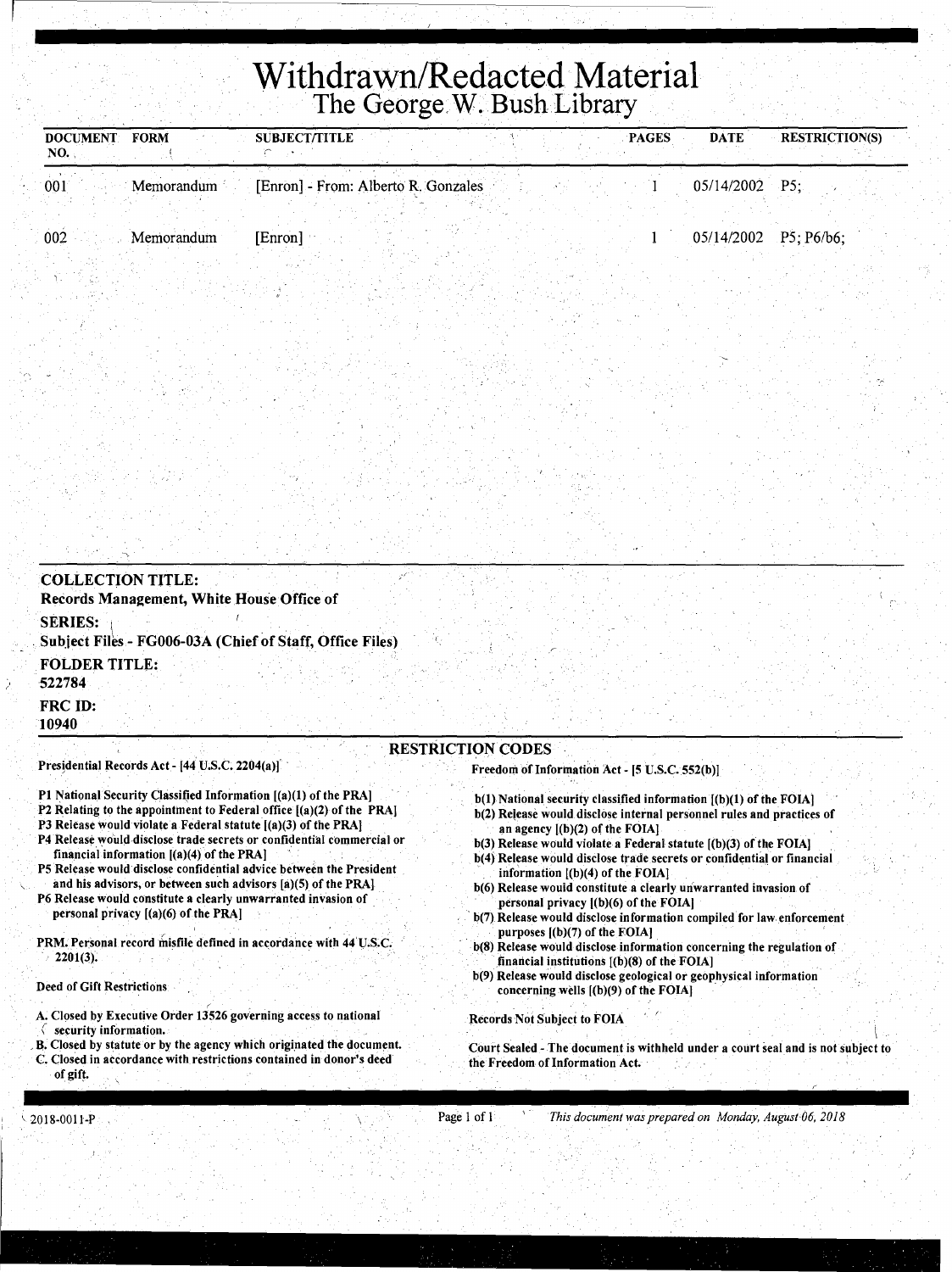# **Withdrawn/Redacted Material The George W. Bush Library**

| DOCUMENT FORM<br>NO. | <b>SUBJECT/TITLE</b> |                                     | <b>DATE</b><br>PAGES | <b>RESTRICTION(S)</b> |
|----------------------|----------------------|-------------------------------------|----------------------|-----------------------|
| 001<br>Memorandum    |                      | [Enron] - From: Alberto R. Gonzales | $05/14/2002$ P5;     |                       |
|                      |                      |                                     |                      |                       |
| 002<br>Memorandum    | [Enron]              |                                     |                      | 05/14/2002 P5; P6/b6; |
|                      |                      |                                     |                      |                       |

| <b>COLLECTION TITLE:</b>                                                   |                          |
|----------------------------------------------------------------------------|--------------------------|
| Records Management, White House Office of                                  |                          |
| <b>SERIES:</b><br>Subject Files - FG006-03A (Chief of Staff, Office Files) |                          |
| <b>FOLDER TITLE:</b><br>522784                                             |                          |
| <b>FRC ID:</b><br>10940                                                    |                          |
|                                                                            | <b>RESTRICTION CODES</b> |

Presidential Records Act - [44 U.S.C. 2204(a)]

- P1 National Security Classified Information [(a)(1) of the PRA]
- P2 Relating to the appointment to Federal office [(a)(2) of the PRA)
- P3 Release would violate a Federal statute  $[(a)(3)$  of the PRA]
- P4 Release would-disclose trade secrets or confidential commercial or financial information  $[(a)(4)$  of the PRA]
- PS Release would disclose confidential advice between the President and his advisors, or between such advisors [a)(S) of the PRAI
- P6 Release would constitute a clearly unwarranted invasion of personal privacy [(a)(6) of the PRA)
- PRM. Personal record misfile defined in accordance with 44 U.S.C.  $2201(3).$

#### Deed of Gift Restrictions

- A. Closed by Executive Order 13526 governing access to national
- *(* security information.
- B. Closed by statute or by the agency which originated the document. C. Closed in accordance with restrictions contained in donor's deed of gift.

#### Freedom of Information Act - [5 U.S.C. 552(b))

- b(l) National security classified information [(b)(l) of the FOIA)
- b(2) Release would disclose internal personnel rules and practices of an agency [(b)(2) of the FOIA)
- b(3) Release would violate a Federal statute [(b)(3) of the FOIA)
- b(4) Release would disclose trade secrets or confidential or financial information  $[(b)(4)$  of the FOIA]
- b(6) Release would constitute a clearly unwarranted invasion of personal privacy [(b)(6) of the FOIAJ
- b(7) Release would disclose information compiled for law enforcement purposes [(b)(7) of the FOIA)
- b(8) Release would disclose information concerning the regulation of .financial institutions [(b)(8) of the FOIA)
- b(9) Release would disclose geological or geophysical information concerning wells [(b)(9) of the FOIA)

Records Not Subject to FOIA

 $\frac{1}{2}$ Court Sealed - The document is withheld under a court seal and is not subject to the Freedom of Information Act.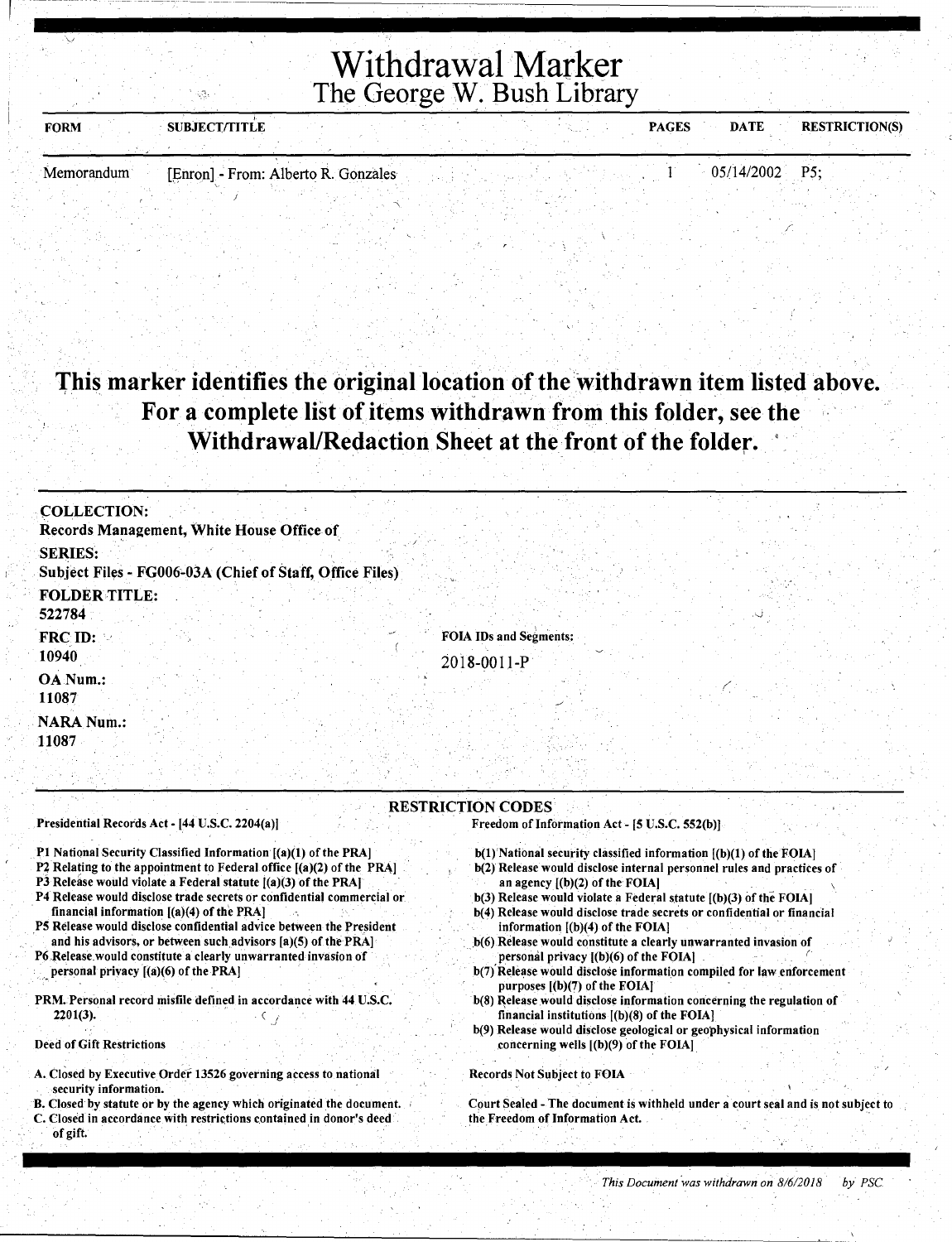# Withdrawal Marker The George W. Bush Library

| <b>FORM</b>  | <b>SUBJECT/TITLE</b>                |  |  | <b>PAGES</b> | <b>DATE</b>      | <b>RESTRICTION(S)</b> |
|--------------|-------------------------------------|--|--|--------------|------------------|-----------------------|
|              |                                     |  |  |              |                  |                       |
| 'Memorandum' | [Enron] - From: Alberto R. Gonzales |  |  |              | $05/14/2002$ P5; |                       |

### This marker identifies the original location of the withdrawn item listed above. For a complete list of items withdrawn from this folder, see the Withdrawal/Redaction Sheet at the front of the folder.

| <b>COLLECTION:</b><br>Records Management, White House Office of                                                                                                                                                                                                                                                                                                                                                                                                                                                                                                                                                                                                                                         |                                                                                                                                                                                                                                                                                                                                                                                                                                                                                                                                                                                                                                                                                                                                                                                                                                            |
|---------------------------------------------------------------------------------------------------------------------------------------------------------------------------------------------------------------------------------------------------------------------------------------------------------------------------------------------------------------------------------------------------------------------------------------------------------------------------------------------------------------------------------------------------------------------------------------------------------------------------------------------------------------------------------------------------------|--------------------------------------------------------------------------------------------------------------------------------------------------------------------------------------------------------------------------------------------------------------------------------------------------------------------------------------------------------------------------------------------------------------------------------------------------------------------------------------------------------------------------------------------------------------------------------------------------------------------------------------------------------------------------------------------------------------------------------------------------------------------------------------------------------------------------------------------|
| <b>SERIES:</b>                                                                                                                                                                                                                                                                                                                                                                                                                                                                                                                                                                                                                                                                                          |                                                                                                                                                                                                                                                                                                                                                                                                                                                                                                                                                                                                                                                                                                                                                                                                                                            |
| Subject Files - FG006-03A (Chief of Staff, Office Files)                                                                                                                                                                                                                                                                                                                                                                                                                                                                                                                                                                                                                                                |                                                                                                                                                                                                                                                                                                                                                                                                                                                                                                                                                                                                                                                                                                                                                                                                                                            |
| <b>FOLDER TITLE:</b>                                                                                                                                                                                                                                                                                                                                                                                                                                                                                                                                                                                                                                                                                    |                                                                                                                                                                                                                                                                                                                                                                                                                                                                                                                                                                                                                                                                                                                                                                                                                                            |
| 522784                                                                                                                                                                                                                                                                                                                                                                                                                                                                                                                                                                                                                                                                                                  |                                                                                                                                                                                                                                                                                                                                                                                                                                                                                                                                                                                                                                                                                                                                                                                                                                            |
|                                                                                                                                                                                                                                                                                                                                                                                                                                                                                                                                                                                                                                                                                                         |                                                                                                                                                                                                                                                                                                                                                                                                                                                                                                                                                                                                                                                                                                                                                                                                                                            |
| FRC ID:                                                                                                                                                                                                                                                                                                                                                                                                                                                                                                                                                                                                                                                                                                 | <b>FOIA IDs and Segments:</b>                                                                                                                                                                                                                                                                                                                                                                                                                                                                                                                                                                                                                                                                                                                                                                                                              |
| 10940                                                                                                                                                                                                                                                                                                                                                                                                                                                                                                                                                                                                                                                                                                   | 2018-0011-P                                                                                                                                                                                                                                                                                                                                                                                                                                                                                                                                                                                                                                                                                                                                                                                                                                |
| OA Num.:                                                                                                                                                                                                                                                                                                                                                                                                                                                                                                                                                                                                                                                                                                |                                                                                                                                                                                                                                                                                                                                                                                                                                                                                                                                                                                                                                                                                                                                                                                                                                            |
| 11087                                                                                                                                                                                                                                                                                                                                                                                                                                                                                                                                                                                                                                                                                                   |                                                                                                                                                                                                                                                                                                                                                                                                                                                                                                                                                                                                                                                                                                                                                                                                                                            |
| <b>NARA Num.:</b><br>11087                                                                                                                                                                                                                                                                                                                                                                                                                                                                                                                                                                                                                                                                              |                                                                                                                                                                                                                                                                                                                                                                                                                                                                                                                                                                                                                                                                                                                                                                                                                                            |
|                                                                                                                                                                                                                                                                                                                                                                                                                                                                                                                                                                                                                                                                                                         |                                                                                                                                                                                                                                                                                                                                                                                                                                                                                                                                                                                                                                                                                                                                                                                                                                            |
|                                                                                                                                                                                                                                                                                                                                                                                                                                                                                                                                                                                                                                                                                                         |                                                                                                                                                                                                                                                                                                                                                                                                                                                                                                                                                                                                                                                                                                                                                                                                                                            |
|                                                                                                                                                                                                                                                                                                                                                                                                                                                                                                                                                                                                                                                                                                         |                                                                                                                                                                                                                                                                                                                                                                                                                                                                                                                                                                                                                                                                                                                                                                                                                                            |
|                                                                                                                                                                                                                                                                                                                                                                                                                                                                                                                                                                                                                                                                                                         | <b>RESTRICTION CODES</b>                                                                                                                                                                                                                                                                                                                                                                                                                                                                                                                                                                                                                                                                                                                                                                                                                   |
| Presidential Records Act - [44 U.S.C. 2204(a)]                                                                                                                                                                                                                                                                                                                                                                                                                                                                                                                                                                                                                                                          | Freedom of Information Act - [5 U.S.C. 552(b)]                                                                                                                                                                                                                                                                                                                                                                                                                                                                                                                                                                                                                                                                                                                                                                                             |
| P1 National Security Classified Information [(a)(1) of the PRA]<br>P2 Relating to the appointment to Federal office [(a)(2) of the PRA]<br>P3 Release would violate a Federal statute [(a)(3) of the PRA]<br>P4 Release would disclose trade secrets or confidential commercial or<br>financial information $[(a)(4)$ of the PRA]<br>P5 Release would disclose confidential advice between the President<br>and his advisors, or between such advisors [a](5) of the PRA]<br>P6 Release would constitute a clearly unwarranted invasion of<br>personal privacy [(a)(6) of the PRA]<br>PRM. Personal record misfile defined in accordance with 44 U.S.C.<br>2201(3).<br><b>Deed of Gift Restrictions</b> | $b(1)$ National security classified information $[(b)(1)$ of the FOIA]<br>b(2) Release would disclose internal personnel rules and practices of<br>an agency $[(b)(2)$ of the FOIA]<br>$b(3)$ Release would violate a Federal statute $(6)(3)$ of the FOIA]<br>b(4) Release would disclose trade secrets or confidential or financial<br>information $[(b)(4)$ of the FOIA]<br>b(6) Release would constitute a clearly unwarranted invasion of<br>personal privacy [(b)(6) of the FOIA].<br>b(7) Release would disclose information compiled for law enforcement<br>purposes $[(b)(7)$ of the FOIA]<br>b(8) Release would disclose information concerning the regulation of<br>financial institutions $[(b)(8)$ of the FOIA]<br>b(9) Release would disclose geological or geophysical information<br>concerning wells [(b)(9) of the FOIA] |
| A. Closed by Executive Order 13526 governing access to national                                                                                                                                                                                                                                                                                                                                                                                                                                                                                                                                                                                                                                         | Records Not Subject to FOIA                                                                                                                                                                                                                                                                                                                                                                                                                                                                                                                                                                                                                                                                                                                                                                                                                |
| security information.                                                                                                                                                                                                                                                                                                                                                                                                                                                                                                                                                                                                                                                                                   |                                                                                                                                                                                                                                                                                                                                                                                                                                                                                                                                                                                                                                                                                                                                                                                                                                            |
| B. Closed by statute or by the agency which originated the document.                                                                                                                                                                                                                                                                                                                                                                                                                                                                                                                                                                                                                                    | Court Sealed - The document is withheld under a court seal and is not subject t                                                                                                                                                                                                                                                                                                                                                                                                                                                                                                                                                                                                                                                                                                                                                            |

C. Closed in accordance with restrictions contained in donor's deed of gift.

Court Sealed - The document is withheld under a court seal and is not subject to the Freedom of Information Act.